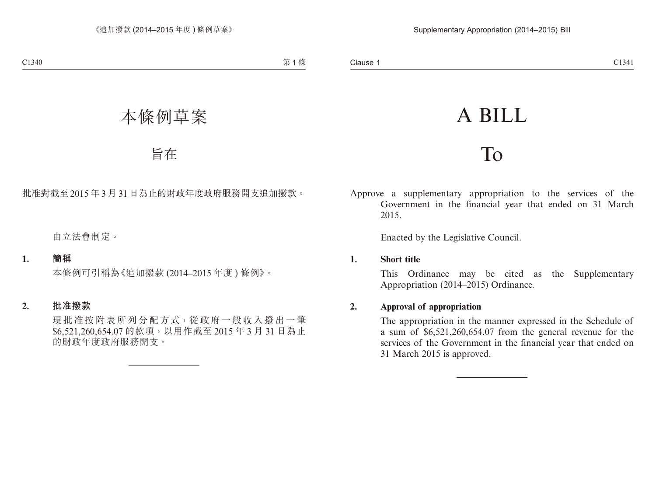# A BILL

## To

Approve a supplementary appropriation to the services of the Government in the financial year that ended on 31 March 2015.

Enacted by the Legislative Council.

### **1. Short title**

This Ordinance may be cited as the Supplementary Appropriation (2014–2015) Ordinance.

## **2. Approval of appropriation**

The appropriation in the manner expressed in the Schedule of a sum of \$6,521,260,654.07 from the general revenue for the services of the Government in the financial year that ended on 31 March 2015 is approved.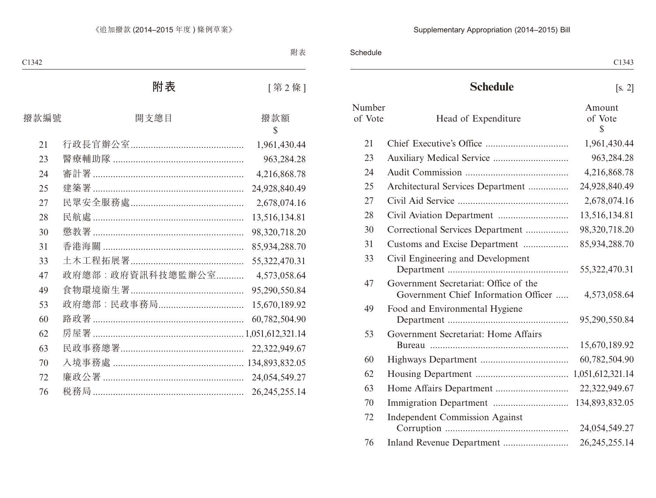Schedule

## **Schedule** [s. 2]

| Number<br>of Vote | Head of Expenditure                                                           | Amount<br>of Vote<br>\$ |
|-------------------|-------------------------------------------------------------------------------|-------------------------|
| 21                |                                                                               | 1,961,430.44            |
| 23                | Auxiliary Medical Service                                                     | 963,284.28              |
| 24                |                                                                               | 4,216,868.78            |
| 25                | Architectural Services Department                                             | 24,928,840.49           |
| 27                |                                                                               | 2,678,074.16            |
| 28                |                                                                               | 13,516,134.81           |
| 30                | Correctional Services Department                                              | 98,320,718.20           |
| 31                | Customs and Excise Department                                                 | 85,934,288.70           |
| 33                | Civil Engineering and Development                                             | 55,322,470.31           |
| 47                | Government Secretariat: Office of the<br>Government Chief Information Officer | 4,573,058.64            |
| 49                | Food and Environmental Hygiene                                                | 95,290,550.84           |
| 53                | Government Secretariat: Home Affairs                                          | 15,670,189.92           |
| 60                |                                                                               | 60,782,504.90           |
| 62                |                                                                               | 1,051,612,321.14        |
| 63                |                                                                               | 22,322,949.67           |
| 70                |                                                                               | 134,893,832.05          |
| 72                | <b>Independent Commission Against</b>                                         | 24,054,549.27           |
| 76                | Inland Revenue Department                                                     | 26, 245, 255. 14        |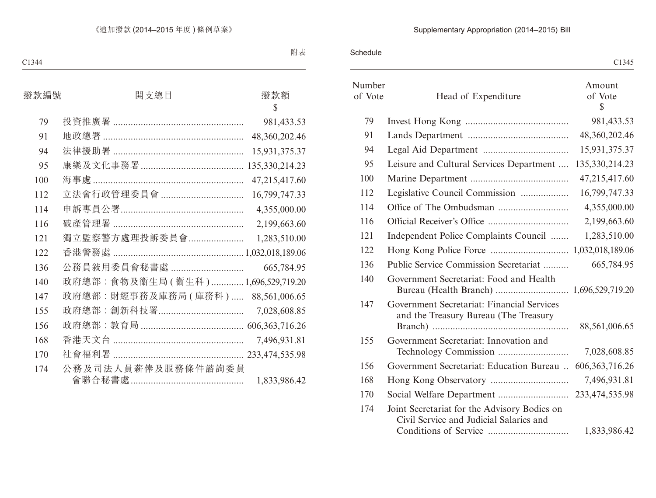## Supplementary Appropriation (2014–2015) Bill

Schedule

|                   |                                                                                         | C <sub>1345</sub>       |
|-------------------|-----------------------------------------------------------------------------------------|-------------------------|
| Number<br>of Vote | Head of Expenditure                                                                     | Amount<br>of Vote<br>S. |
| 79                |                                                                                         | 981,433.53              |
| 91                |                                                                                         | 48, 360, 202. 46        |
| 94                |                                                                                         | 15,931,375.37           |
| 95                | Leisure and Cultural Services Department                                                | 135, 330, 214. 23       |
| 100               |                                                                                         | 47,215,417.60           |
| 112               | Legislative Council Commission                                                          | 16,799,747.33           |
| 114               |                                                                                         | 4,355,000.00            |
| 116               |                                                                                         | 2,199,663.60            |
| 121               | Independent Police Complaints Council                                                   | 1,283,510.00            |
| 122               |                                                                                         |                         |
| 136               | Public Service Commission Secretariat                                                   | 665,784.95              |
| 140               | Government Secretariat: Food and Health                                                 |                         |
| 147               | Government Secretariat: Financial Services<br>and the Treasury Bureau (The Treasury     | 88,561,006.65           |
| 155               | Government Secretariat: Innovation and                                                  | 7,028,608.85            |
| 156               | Government Secretariat: Education Bureau  606,363,716.26                                |                         |
| 168               |                                                                                         | 7,496,931.81            |
| 170               |                                                                                         | 233,474,535.98          |
| 174               | Joint Secretariat for the Advisory Bodies on<br>Civil Service and Judicial Salaries and | 1,833,986.42            |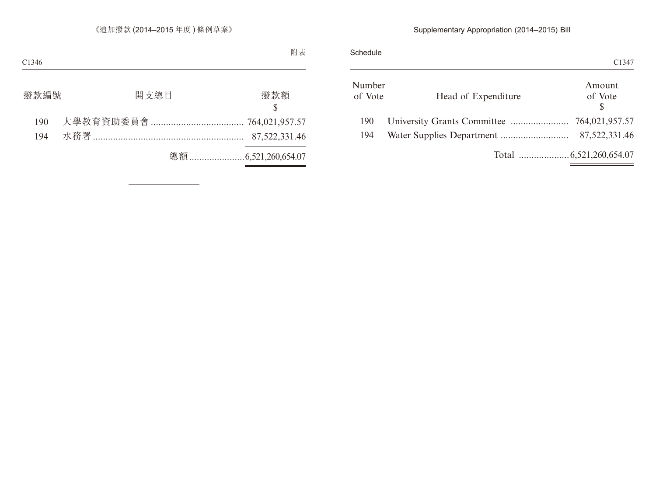## Supplementary Appropriation (2014–2015) Bill

|  |                     |  | C1347             |
|--|---------------------|--|-------------------|
|  | Head of Expenditure |  | Amount<br>of Vote |
|  |                     |  |                   |
|  |                     |  | 87,522,331.46     |
|  |                     |  |                   |
|  |                     |  |                   |